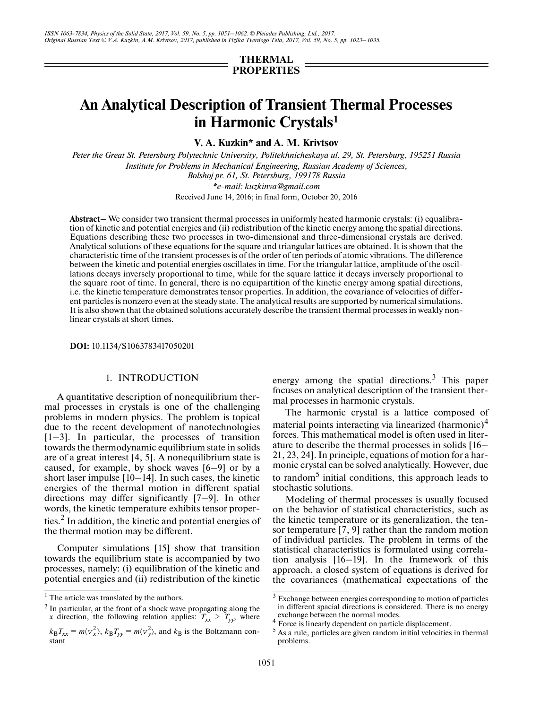# **THERMAL PROPERTIES**

# **An Analytical Description of Transient Thermal Processes in Harmonic Crystals1**

**V. A. Kuzkin\* and A. M. Krivtsov**

*Peter the Great St. Petersburg Polytechnic University, Politekhnicheskaya ul. 29, St. Petersburg, 195251 Russia Institute for Problems in Mechanical Engineering, Russian Academy of Sciences, Bolshoj pr. 61, St. Petersburg, 199178 Russia*

*\*e-mail: kuzkinva@gmail.com* Received June 14, 2016; in final form, October 20, 2016

**Abstract**– We consider two transient thermal processes in uniformly heated harmonic crystals: (i) equalibration of kinetic and potential energies and (ii) redistribution of the kinetic energy among the spatial directions. Equations describing these two processes in two-dimensional and three-dimensional crystals are derived. Analytical solutions of these equations for the square and triangular lattices are obtained. It is shown that the characteristic time of the transient processes is of the order of ten periods of atomic vibrations. The difference between the kinetic and potential energies oscillates in time. For the triangular lattice, amplitude of the oscillations decays inversely proportional to time, while for the square lattice it decays inversely proportional to the square root of time. In general, there is no equipartition of the kinetic energy among spatial directions, i.e. the kinetic temperature demonstrates tensor properties. In addition, the covariance of velocities of different particles is nonzero even at the steady state. The analytical results are supported by numerical simulations. It is also shown that the obtained solutions accurately describe the transient thermal processes in weakly nonlinear crystals at short times.

**DOI:** 10.1134/S1063783417050201

## 1. INTRODUCTION

A quantitative description of nonequilibrium thermal processes in crystals is one of the challenging problems in modern physics. The problem is topical due to the recent development of nanotechnologies  $[1-3]$ . In particular, the processes of transition towards the thermodynamic equilibrium state in solids are of a great interest [4, 5]. A nonequilibrium state is caused, for example, by shock waves [6–9] or by a short laser impulse [10–14]. In such cases, the kinetic energies of the thermal motion in different spatial directions may differ significantly [7–9]. In other words, the kinetic temperature exhibits tensor properties.<sup>2</sup> In addition, the kinetic and potential energies of the thermal motion may be different.

Computer simulations [15] show that transition towards the equilibrium state is accompanied by two processes, namely: (i) equilibration of the kinetic and potential energies and (ii) redistribution of the kinetic

energy among the spatial directions.<sup>3</sup> This paper focuses on analytical description of the transient thermal processes in harmonic crystals.

The harmonic crystal is a lattice composed of material points interacting via linearized (harmonic)<sup>4</sup> forces. This mathematical model is often used in literature to describe the thermal processes in solids [16– 21, 23, 24]. In principle, equations of motion for a harmonic crystal can be solved analytically. However, due to random<sup>5</sup> initial conditions, this approach leads to stochastic solutions.

Modeling of thermal processes is usually focused on the behavior of statistical characteristics, such as the kinetic temperature or its generalization, the tensor temperature [7, 9] rather than the random motion of individual particles. The problem in terms of the statistical characteristics is formulated using correlation analysis [16–19]. In the framework of this approach, a closed system of equations is derived for the covariances (mathematical expectations of the

 $<sup>1</sup>$  The article was translated by the authors.</sup>

<sup>2</sup> In particular, at the front of a shock wave propagating along the *x* direction, the following relation applies:  $T_{xx} > T_{yy}$  where

 $k_B T_{xx} = m \langle v_x^2 \rangle$ ,  $k_B T_{yy} = m \langle v_y^2 \rangle$ , and  $k_B$  is the Boltzmann constant

<sup>3</sup> Exchange between energies corresponding to motion of particles in different spacial directions is considered. There is no energy exchange between the normal modes.

Force is linearly dependent on particle displacement.

 $<sup>5</sup>$  As a rule, particles are given random initial velocities in thermal</sup> problems.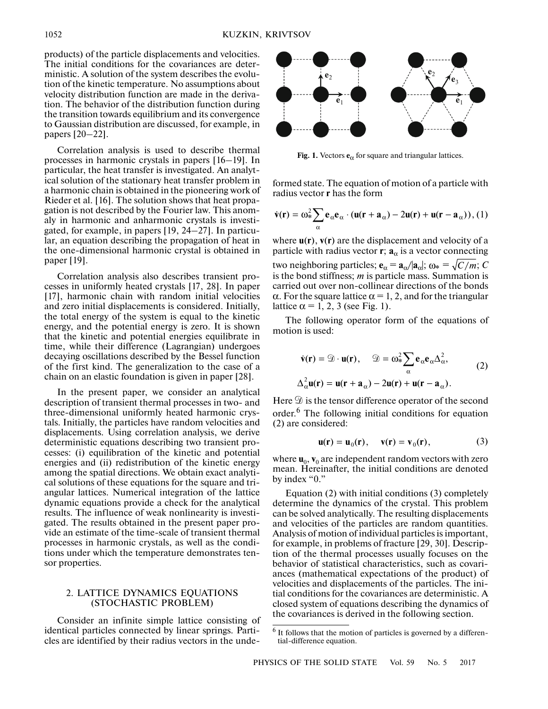products) of the particle displacements and velocities. The initial conditions for the covariances are deterministic. A solution of the system describes the evolution of the kinetic temperature. No assumptions about velocity distribution function are made in the derivation. The behavior of the distribution function during the transition towards equilibrium and its convergence to Gaussian distribution are discussed, for example, in papers [20–22].

Correlation analysis is used to describe thermal processes in harmonic crystals in papers [16–19]. In particular, the heat transfer is investigated. An analytical solution of the stationary heat transfer problem in a harmonic chain is obtained in the pioneering work of Rieder et al. [16]. The solution shows that heat propagation is not described by the Fourier law. This anomaly in harmonic and anharmonic crystals is investigated, for example, in papers [19, 24–27]. In particular, an equation describing the propagation of heat in the one-dimensional harmonic crystal is obtained in paper [19].

Correlation analysis also describes transient processes in uniformly heated crystals [17, 28]. In paper [17], harmonic chain with random initial velocities and zero initial displacements is considered. Initially, the total energy of the system is equal to the kinetic energy, and the potential energy is zero. It is shown that the kinetic and potential energies equilibrate in time, while their difference (Lagrangian) undergoes decaying oscillations described by the Bessel function of the first kind. The generalization to the case of a chain on an elastic foundation is given in paper [28].

In the present paper, we consider an analytical description of transient thermal processes in two- and three-dimensional uniformly heated harmonic crystals. Initially, the particles have random velocities and displacements. Using correlation analysis, we derive deterministic equations describing two transient processes: (i) equilibration of the kinetic and potential energies and (ii) redistribution of the kinetic energy among the spatial directions. We obtain exact analytical solutions of these equations for the square and triangular lattices. Numerical integration of the lattice dynamic equations provide a check for the analytical results. The influence of weak nonlinearity is investigated. The results obtained in the present paper provide an estimate of the time-scale of transient thermal processes in harmonic crystals, as well as the conditions under which the temperature demonstrates tensor properties.

# 2. LATTICE DYNAMICS EQUATIONS (STOCHASTIC PROBLEM)

Consider an infinite simple lattice consisting of identical particles connected by linear springs. Particles are identified by their radius vectors in the unde-



**Fig. 1.** Vectors  $e_{\alpha}$  for square and triangular lattices.

formed state. The equation of motion of a particle with radius vector **r** has the form

$$
\dot{\mathbf{v}}(\mathbf{r}) = \omega_*^2 \sum_{\alpha} \mathbf{e}_{\alpha} \mathbf{e}_{\alpha} \cdot (\mathbf{u}(\mathbf{r} + \mathbf{a}_{\alpha}) - 2\mathbf{u}(\mathbf{r}) + \mathbf{u}(\mathbf{r} - \mathbf{a}_{\alpha})), (1)
$$

where  $u(r)$ ,  $v(r)$  are the displacement and velocity of a particle with radius vector **r**;  $\mathbf{a}_{\alpha}$  is a vector connecting two neighboring particles;  $\mathbf{e}_{\alpha} = \mathbf{a}_{\alpha}/|\mathbf{a}_{\alpha}|$ ;  $\omega_* = \sqrt{C/m}$ ;  $C$ is the bond stiffness; *m* is particle mass. Summation is carried out over non-collinear directions of the bonds α. For the square lattice  $\alpha = 1, 2$ , and for the triangular lattice  $\alpha = 1, 2, 3$  (see Fig. 1).  $\omega_* = \sqrt{C/m}$ 

The following operator form of the equations of motion is used:

$$
\dot{\mathbf{v}}(\mathbf{r}) = \mathcal{D} \cdot \mathbf{u}(\mathbf{r}), \quad \mathcal{D} = \omega_*^2 \sum_{\alpha} \mathbf{e}_{\alpha} \mathbf{e}_{\alpha} \Delta_{\alpha}^2,
$$
  

$$
\Delta_{\alpha}^2 \mathbf{u}(\mathbf{r}) = \mathbf{u}(\mathbf{r} + \mathbf{a}_{\alpha}) - 2\mathbf{u}(\mathbf{r}) + \mathbf{u}(\mathbf{r} - \mathbf{a}_{\alpha}).
$$
 (2)

Here  $\mathfrak D$  is the tensor difference operator of the second order.<sup>6</sup> The following initial conditions for equation (2) are considered:

$$
\mathbf{u}(\mathbf{r}) = \mathbf{u}_0(\mathbf{r}), \quad \mathbf{v}(\mathbf{r}) = \mathbf{v}_0(\mathbf{r}), \tag{3}
$$

where  $\mathbf{u}_0$ ,  $\mathbf{v}_0$  are independent random vectors with zero mean. Hereinafter, the initial conditions are denoted by index "0."

Equation (2) with initial conditions (3) completely determine the dynamics of the crystal. This problem can be solved analytically. The resulting displacements and velocities of the particles are random quantities. Analysis of motion of individual particles is important, for example, in problems of fracture [29, 30]. Description of the thermal processes usually focuses on the behavior of statistical characteristics, such as covariances (mathematical expectations of the product) of velocities and displacements of the particles. The initial conditions for the covariances are deterministic. A closed system of equations describing the dynamics of the covariances is derived in the following section.

 $6$  It follows that the motion of particles is governed by a differential-difference equation.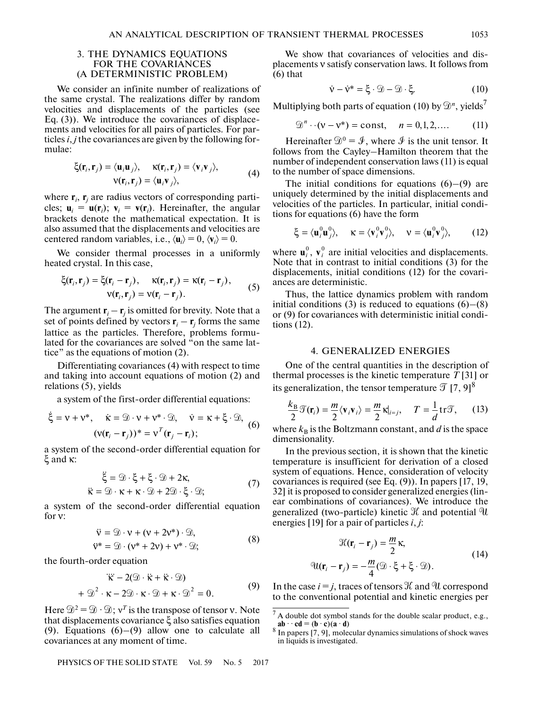## 3. THE DYNAMICS EQUATIONS FOR THE COVARIANCES (A DETERMINISTIC PROBLEM)

We consider an infinite number of realizations of the same crystal. The realizations differ by random velocities and displacements of the particles (see Eq. (3)). We introduce the covariances of displacements and velocities for all pairs of particles. For particles *i*, *j* the covariances are given by the following formulae:

$$
\xi(\mathbf{r}_i, \mathbf{r}_j) = \langle \mathbf{u}_i \mathbf{u}_j \rangle, \quad \kappa(\mathbf{r}_i, \mathbf{r}_j) = \langle \mathbf{v}_i \mathbf{v}_j \rangle, \n\mathbf{v}(\mathbf{r}_i, \mathbf{r}_j) = \langle \mathbf{u}_i \mathbf{v}_j \rangle,
$$
\n(4)

where  $\mathbf{r}_i$ ,  $\mathbf{r}_j$  are radius vectors of corresponding particles;  $\mathbf{u}_i = \mathbf{u}(\mathbf{r}_i)$ ;  $\mathbf{v}_i = \mathbf{v}(\mathbf{r}_i)$ . Hereinafter, the angular brackets denote the mathematical expectation. It is also assumed that the displacements and velocities are centered random variables, i.e.,  $\langle \mathbf{u}_i \rangle = 0$ ,  $\langle \mathbf{v}_i \rangle = 0$ .

We consider thermal processes in a uniformly heated crystal. In this case,

$$
\xi(\mathbf{r}_i, \mathbf{r}_j) = \xi(\mathbf{r}_i - \mathbf{r}_j), \quad \kappa(\mathbf{r}_i, \mathbf{r}_j) = \kappa(\mathbf{r}_i - \mathbf{r}_j),
$$
  

$$
\mathsf{v}(\mathbf{r}_i, \mathbf{r}_j) = \mathsf{v}(\mathbf{r}_i - \mathbf{r}_j).
$$
 (5)

The argument  $\mathbf{r}_i - \mathbf{r}_j$  is omitted for brevity. Note that a set of points defined by vectors  $\mathbf{r}_i - \mathbf{r}_j$  forms the same lattice as the particles. Therefore, problems formulated for the covariances are solved "on the same lattice" as the equations of motion (2).

Differentiating covariances (4) with respect to time and taking into account equations of motion (2) and relations (5), yields Differentiating covariances (4) with respect to the distance of motion (2) elations (5), yields<br>a system of the first-order differential equation<br> $\dot{\xi} = v + v^*$ ,  $\dot{\kappa} = \mathcal{D} \cdot v + v^* \cdot \mathcal{D}$ ,  $\dot{v} = \kappa + \xi \cdot \mathcal{D}$ , t<br>if<br>:

a system of the first-order differential equations:

$$
\dot{\xi} = v + v^*, \quad \dot{\kappa} = \mathcal{D} \cdot v + v^* \cdot \mathcal{D}, \quad \dot{v} = \kappa + \xi \cdot \mathcal{D},
$$

$$
(v(\mathbf{r}_i - \mathbf{r}_j))^* = v^T(\mathbf{r}_j - \mathbf{r}_i);
$$
(6)

a system of the second-order differential equation for ξ and κ:

$$
\xi = \mathcal{D} \cdot \xi + \xi \cdot \mathcal{D} + 2\kappa,
$$
  
\n
$$
\ddot{\kappa} = \mathcal{D} \cdot \kappa + \kappa \cdot \mathcal{D} + 2\mathcal{D} \cdot \xi \cdot \mathcal{D};
$$
 (7)

a system of the second-order differential equation for ν:

$$
\dot{v} = \mathcal{D} \cdot v + (v + 2v^*) \cdot \mathcal{D},
$$
  
\n
$$
\ddot{v}^* = \mathcal{D} \cdot (v^* + 2v) + v^* \cdot \mathcal{D};
$$
  
\n
$$
\text{order equation}
$$
  
\n
$$
\dots \quad \text{200} \quad \dots \quad \text{312} \quad \text{62}
$$

the fourth-order equation

$$
\ddot{\mathbf{K}} - 2(\mathcal{D} \cdot \dot{\mathbf{K}} + \dot{\mathbf{K}} \cdot \mathcal{D})
$$
  
+  $\mathcal{D}^2 \cdot \mathbf{K} - 2\mathcal{D} \cdot \mathbf{K} \cdot \mathcal{D} + \mathbf{K} \cdot \mathcal{D}^2 = 0.$  (9)

Here  $\mathcal{D}^2 = \mathcal{D} \cdot \mathcal{D}$ ;  $v^T$  is the transpose of tensor v. Note that displacements covariance ξ also satisfies equation (9). Equations (6)–(9) allow one to calculate all covariances at any moment of time.

We show that covariances of velocities and displacements ν satisfy conservation laws. It follows from  $(6)$  that HERMAL PROCESS<br>that covariances of v<br>satisfy conservation la<br>v − v\* = ξ · ω − ω · ξ 2<br>-<br>-<br>-

$$
\dot{\mathbf{v}} - \dot{\mathbf{v}}^* = \xi \cdot \mathfrak{D} - \mathfrak{D} \cdot \xi. \tag{10}
$$

Multiplying both parts of equation (10) by  $\mathcal{D}^n$ , yields<sup>7</sup>

$$
\mathcal{D}^{n} \cdot \cdot (\mathbf{v} - \mathbf{v}^{*}) = \text{const}, \quad n = 0, 1, 2, .... \tag{11}
$$

Hereinafter  $\mathfrak{D}^0 = \mathfrak{I}$ , where  $\mathfrak{I}$  is the unit tensor. It follows from the Cayley–Hamilton theorem that the number of independent conservation laws (11) is equal to the number of space dimensions.

The initial conditions for equations  $(6)$ – $(9)$  are uniquely determined by the initial displacements and velocities of the particles. In particular, initial conditions for equations (6) have the form

$$
\xi = \langle \mathbf{u}_i^0 \mathbf{u}_j^0 \rangle, \quad \kappa = \langle \mathbf{v}_i^0 \mathbf{v}_j^0 \rangle, \quad \mathbf{v} = \langle \mathbf{u}_i^0 \mathbf{v}_j^0 \rangle, \tag{12}
$$

where  $\mathbf{u}_i^0$ ,  $\mathbf{v}_i^0$  are initial velocities and displacements. Note that in contrast to initial conditions  $(3)$  for the displacements, initial conditions (12) for the covariances are deterministic.

Thus, the lattice dynamics problem with random initial conditions (3) is reduced to equations  $(6)$ – $(8)$ or (9) for covariances with deterministic initial conditions (12).

## 4. GENERALIZED ENERGIES

One of the central quantities in the description of thermal processes is the kinetic temperature *T* [31] or its generalization, the tensor temperature  $\mathcal{T}$  [7, 9]<sup>8</sup>

$$
\frac{k_{\rm B}}{2}\mathcal{T}(\mathbf{r}_i)=\frac{m}{2}\langle\mathbf{v}_i\mathbf{v}_i\rangle=\frac{m}{2}\mathbf{k}|_{i=j},\quad T=\frac{1}{d}\mathrm{tr}\mathcal{T},\quad(13)
$$

where  $k_B$  is the Boltzmann constant, and *d* is the space dimensionality.

In the previous section, it is shown that the kinetic temperature is insufficient for derivation of a closed system of equations. Hence, consideration of velocity covariances is required (see Eq. (9)). In papers [17, 19, 32] it is proposed to consider generalized energies (linear combinations of covariances). We introduce the generalized (two-particle) kinetic  $\mathcal X$  and potential  $\mathcal U$ energies [19] for a pair of particles *i*, *j*:

$$
\mathcal{H}(\mathbf{r}_i - \mathbf{r}_j) = \frac{m}{2} \kappa,
$$
  
\n
$$
\mathcal{H}(\mathbf{r}_i - \mathbf{r}_j) = -\frac{m}{4} (\mathcal{D} \cdot \xi + \xi \cdot \mathcal{D}).
$$
\n(14)

In the case  $i = j$ , traces of tensors  $\mathcal{K}$  and  $\mathcal{U}$  correspond to the conventional potential and kinetic energies per

 $\frac{7}{4}$  A double dot symbol stands for the double scalar product, e.g.,  $ab \cdot cd = (b \cdot c)(a \cdot d)$ 

<sup>&</sup>lt;sup>8</sup> In papers [7, 9], molecular dynamics simulations of shock waves in liquids is investigated.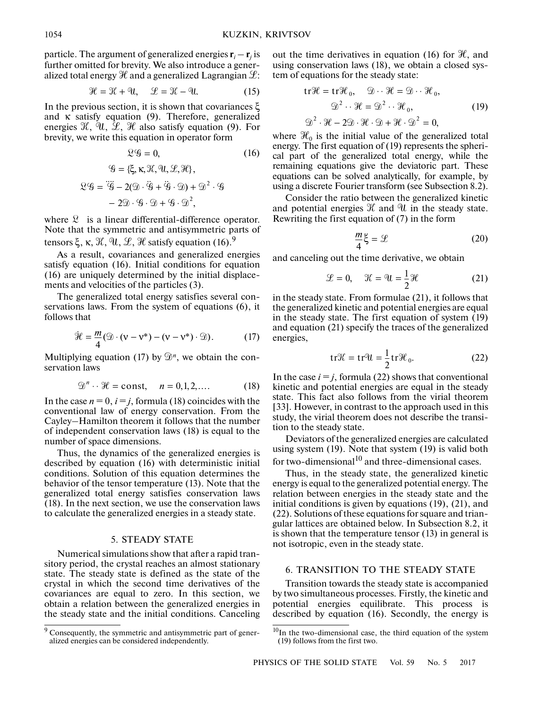particle. The argument of generalized energies  $\mathbf{r}_i - \mathbf{r}_j$  is further omitted for brevity. We also introduce a generalized total energy  $\mathcal{H}$  and a generalized Lagrangian  $\mathcal{L}$ :

$$
\mathcal{H} = \mathcal{K} + \mathcal{U}, \quad \mathcal{L} = \mathcal{K} - \mathcal{U}.
$$
 (15)

In the previous section, it is shown that covariances ξ and  $\kappa$  satisfy equation (9). Therefore, generalized energies  $\mathcal{K}, \mathcal{U}, \mathcal{L}, \mathcal{H}$  also satisfy equation (9). For energies  $\pi$ ,  $\alpha$ ,  $\omega$ ,  $\sigma$  also sausly equation (see order to  $\alpha$ )

 $\Omega$ 

$$
\mathcal{L}(\mathcal{L}, \mathcal{L}, \mathcal{L}, \mathcal{L}) = \mathcal{L}(\mathcal{L}, \mathcal{L}, \mathcal{L}, \mathcal{L})
$$
\nWe write this equation in operator form

\n
$$
\mathcal{L}(\mathcal{L}) = 0, \qquad (16)
$$
\n
$$
\mathcal{L}(\mathcal{L}) = \{\xi, \kappa, \mathcal{H}, \mathcal{L}, \mathcal{L}, \mathcal{H}\},
$$
\n
$$
\mathcal{L}(\mathcal{L}) = \{\xi, \kappa, \mathcal{H}, \mathcal{L}, \mathcal{L}, \mathcal{H}\},
$$
\n
$$
\mathcal{L}(\mathcal{L}) = \{\xi, \kappa, \mathcal{H}, \mathcal{L}, \mathcal{L}, \mathcal{H}\},
$$
\n
$$
= 2 \mathcal{L}(\mathcal{L}) \cdot \mathcal{L}(\mathcal{L}, \mathcal{L}, \mathcal{H}) + \mathcal{L}^2 \cdot \mathcal{L}(\mathcal{L})
$$
\n
$$
= 2 \mathcal{L} \cdot \mathcal{L}(\mathcal{L}, \mathcal{L}, \mathcal{H}) + \mathcal{L}^2 \cdot \mathcal{L}(\mathcal{L})
$$

where  $\mathcal{R}$  is a linear differential-difference operator. Note that the symmetric and antisymmetric parts of tensors ξ, κ,  $\mathcal{H}$ ,  $\mathcal{U}$ ,  $\mathcal{L}$ ,  $\mathcal{H}$  satisfy equation (16).<sup>9</sup>

As a result, covariances and generalized energies satisfy equation (16). Initial conditions for equation (16) are uniquely determined by the initial displace-

ments and velocities of the particles (3).<br>
The generalized total energy satisfies<br>
servations laws. From the system of eq<br>
follows that<br>  $\dot{\mathcal{H}} = \frac{m}{\lambda} (\mathcal{D} \cdot (\mathbf{v} - \mathbf{v}^*) - (\mathbf{v} - \mathbf{v}^*) \cdot \mathcal{Q}$ The generalized total energy satisfies several conservations laws. From the system of equations (6), it follows that

$$
\dot{\mathcal{H}} = \frac{m}{4} (\mathcal{D} \cdot (\mathbf{v} - \mathbf{v}^*) - (\mathbf{v} - \mathbf{v}^*) \cdot \mathcal{D}). \tag{17}
$$

Multiplying equation (17) by  $\mathcal{D}^n$ , we obtain the conservation laws

$$
\mathfrak{D}^n \cdot \mathfrak{H} = \text{const}, \quad n = 0, 1, 2, \dots \tag{18}
$$

In the case  $n = 0$ ,  $i = j$ , formula (18) coincides with the conventional law of energy conservation. From the Cayley–Hamilton theorem it follows that the number of independent conservation laws (18) is equal to the number of space dimensions.

Thus, the dynamics of the generalized energies is described by equation (16) with deterministic initial conditions. Solution of this equation determines the behavior of the tensor temperature (13). Note that the generalized total energy satisfies conservation laws (18). In the next section, we use the conservation laws to calculate the generalized energies in a steady state.

## 5. STEADY STATE

Numerical simulations show that after a rapid transitory period, the crystal reaches an almost stationary state. The steady state is defined as the state of the crystal in which the second time derivatives of the covariances are equal to zero. In this section, we obtain a relation between the generalized energies in the steady state and the initial conditions. Canceling out the time derivatives in equation (16) for  $\mathcal{H}$ , and using conservation laws (18), we obtain a closed system of equations for the steady state:

$$
\begin{aligned} \text{tr}\mathcal{H} &= \text{tr}\mathcal{H}_0, \qquad \mathcal{D}\cdot\mathcal{H} = \mathcal{D}\cdot\mathcal{H}_0, \\ \mathcal{D}^2\cdot\mathcal{H} &= \mathcal{D}^2\cdot\mathcal{H}_0, \\ \mathcal{D}^2\cdot\mathcal{H} - 2\mathcal{D}\cdot\mathcal{H}\cdot\mathcal{D} + \mathcal{H}\cdot\mathcal{D}^2 &= 0, \end{aligned} \tag{19}
$$

where  $\mathcal{H}_0$  is the initial value of the generalized total energy. The first equation of (19) represents the spherical part of the generalized total energy, while the remaining equations give the deviatoric part. These equations can be solved analytically, for example, by using a discrete Fourier transform (see Subsection 8.2).

Consider the ratio between the generalized kinetic and potential energies  $\mathcal X$  and  $\mathcal U$  in the steady state. Rewriting the first equation of (7) in the form

$$
\frac{m}{4}\xi = \mathcal{L} \tag{20}
$$

and canceling out the time derivative, we obtain

$$
\mathcal{L} = 0, \quad \mathcal{K} = \mathcal{U} = \frac{1}{2}\mathcal{H}
$$
 (21)

in the steady state. From formulae (21), it follows that the generalized kinetic and potential energies are equal in the steady state. The first equation of system (19) and equation (21) specify the traces of the generalized energies,

$$
tr\mathcal{H} = tr\mathcal{U} = \frac{1}{2}tr\mathcal{H}_0.
$$
 (22)

In the case  $i = j$ , formula (22) shows that conventional kinetic and potential energies are equal in the steady state. This fact also follows from the virial theorem [33]. However, in contrast to the approach used in this study, the virial theorem does not describe the transition to the steady state.

Deviators of the generalized energies are calculated using system (19). Note that system (19) is valid both for two-dimensional<sup>10</sup> and three-dimensional cases.

Thus, in the steady state, the generalized kinetic energy is equal to the generalized potential energy. The relation between energies in the steady state and the initial conditions is given by equations (19), (21), and (22). Solutions of these equations for square and triangular lattices are obtained below. In Subsection 8.2, it is shown that the temperature tensor (13) in general is not isotropic, even in the steady state.

# 6. TRANSITION TO THE STEADY STATE

Transition towards the steady state is accompanied by two simultaneous processes. Firstly, the kinetic and potential energies equilibrate. This process is described by equation (16). Secondly, the energy is

<sup>&</sup>lt;sup>9</sup> Consequently, the symmetric and antisymmetric part of generalized energies can be considered independently.

 $10$ In the two-dimensional case, the third equation of the system (19) follows from the first two.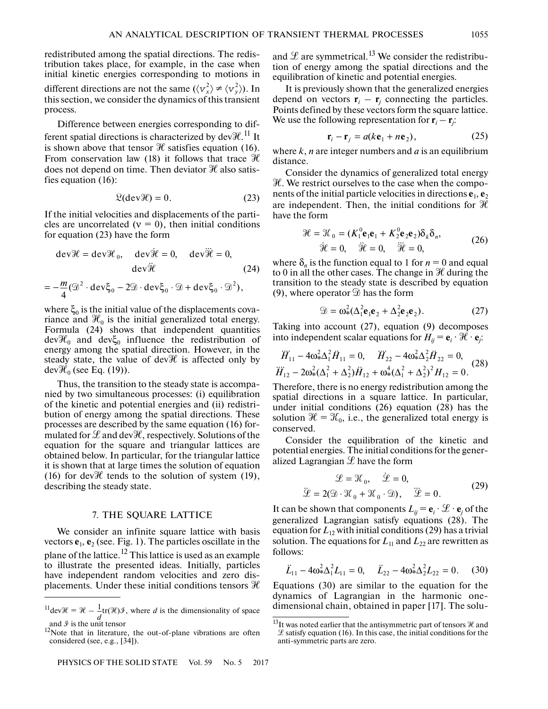redistributed among the spatial directions. The redistribution takes place, for example, in the case when initial kinetic energies corresponding to motions in different directions are not the same  $(\langle v_x^2 \rangle \neq \langle v_y^2 \rangle)$ . In this section, we consider the dynamics of this transient process.

Difference between energies corresponding to different spatial directions is characterized by dev $\mathcal{H}$ .<sup>11</sup> It is shown above that tensor  $\mathcal H$  satisfies equation (16). From conservation law (18) it follows that trace  $\mathcal H$ does not depend on time. Then deviator  $\mathcal H$  also satisfies equation (16):

$$
\mathfrak{L}(\text{devH}) = 0. \tag{23}
$$

If the initial velocities and displacements of the particles are uncorrelated ( $v = 0$ ), then initial conditions for equation (23) have the form s<br>i:

$$
\begin{aligned}\n\text{dev}\mathcal{H} &= \text{dev}\mathcal{H}_0, \quad \text{dev}\mathcal{H} = 0, \quad \text{dev}\mathcal{H} = 0, \\
\text{dev}\mathcal{H} &= -\frac{m}{4}(\mathcal{D}^2 \cdot \text{dev}\xi_0 - 2\mathcal{D} \cdot \text{dev}\xi_0 \cdot \mathcal{D} + \text{dev}\xi_0 \cdot \mathcal{D}^2),\n\end{aligned}
$$
\n(24)

where  $\xi_0$  is the initial value of the displacements covariance and  $\mathcal{H}_0$  is the initial generalized total energy. Formula (24) shows that independent quantities dev $\mathcal{H}_0$  and dev $\xi_0$  influence the redistribution of energy among the spatial direction. However, in the steady state, the value of dev $\mathcal{H}$  is affected only by  $dev\mathcal{H}_0$  (see Eq. (19)).

Thus, the transition to the steady state is accompanied by two simultaneous processes: (i) equilibration of the kinetic and potential energies and (ii) redistribution of energy among the spatial directions. These processes are described by the same equation (16) formulated for  $\mathcal L$  and dev $\mathcal H$ , respectively. Solutions of the equation for the square and triangular lattices are obtained below. In particular, for the triangular lattice it is shown that at large times the solution of equation (16) for dev $\mathcal{H}$  tends to the solution of system (19), describing the steady state.

#### 7. THE SQUARE LATTICE

We consider an infinite square lattice with basis vectors  $\mathbf{e}_1$ ,  $\mathbf{e}_2$  (see. Fig. 1). The particles oscillate in the plane of the lattice.<sup>12</sup> This lattice is used as an example to illustrate the presented ideas. Initially, particles have independent random velocities and zero displacements. Under these initial conditions tensors  $\mathcal H$  and  $\mathcal L$  are symmetrical.<sup>13</sup> We consider the redistribution of energy among the spatial directions and the equilibration of kinetic and potential energies.

It is previously shown that the generalized energies depend on vectors  $\mathbf{r}_i - \mathbf{r}_j$  connecting the particles. Points defined by these vectors form the square lattice. We use the following representation for  $\mathbf{r}_i - \mathbf{r}_j$ :

$$
\mathbf{r}_i - \mathbf{r}_j = a(k\mathbf{e}_1 + n\mathbf{e}_2),\tag{25}
$$

where *k*, *n* are integer numbers and *a* is an equilibrium distance.

Consider the dynamics of generalized total energy  $H$ . We restrict ourselves to the case when the components of the initial particle velocities in directions **e**<sub>1</sub>, **e**<sub>2</sub><br>
are independent. Then, the initial conditions for H<br>
have the form<br>  $\mathcal{H} = \mathcal{H}_0 = (K_1^0 \mathbf{e}_1 \mathbf{e}_1 + K_2^0 \mathbf{e}_2 \mathbf{e}_2) \delta_k \delta_n$ ,<br>  $\mathcal{H} = 0$ ,  $\$ are independent. Then, the initial conditions for  $\mathcal H$ have the form t<br> $\frac{1}{2}$ <br>0<br>1.  $\begin{bmatrix} 1 \\ 1 \\ 2 \\ 3 \end{bmatrix}$ 

$$
\mathcal{H} = \mathcal{K}_0 = (K_1^0 \mathbf{e}_1 \mathbf{e}_1 + K_2^0 \mathbf{e}_2 \mathbf{e}_2) \delta_k \delta_n, \n\mathcal{H} = 0, \quad \mathcal{H} = 0, \quad \mathcal{H} = 0,
$$
\n(26)

where  $\delta_n$  is the function equal to 1 for  $n = 0$  and equal to 0 in all the other cases. The change in  $\mathcal H$  during the transition to the steady state is described by equation (9), where operator  $\mathcal{D}$  has the form  $\overline{a}$ - $\overline{a}$ 

$$
\mathcal{D} = \omega_*^2 (\Delta_1^2 \mathbf{e}_1 \mathbf{e}_2 + \Delta_2^2 \mathbf{e}_2 \mathbf{e}_2).
$$
 (27)

Taking into account (27), equation (9) decomposes into independent scalar equations for  $H_{ij} = \mathbf{e}_i \cdot \mathcal{H} \cdot \mathbf{e}_j$ : =<br>C<br>:  $\frac{2}{1}$ ,  $\frac{1}{1}$  $\left.\begin{array}{c} 0 \\ y \end{array}\right.$ -<br>|<br>|<br>|<br>|

$$
\ddot{H}_{11} - 4\omega_*^2 \Delta_1^2 \ddot{H}_{11} = 0, \quad \ddot{H}_{22} - 4\omega_*^2 \Delta_2^2 \ddot{H}_{22} = 0,
$$
  

$$
\ddot{H}_{12} - 2\omega_*^2 (\Delta_1^2 + \Delta_2^2) \ddot{H}_{12} + \omega_*^4 (\Delta_1^2 + \Delta_2^2)^2 H_{12} = 0.
$$
 (28)

Therefore, there is no energy redistribution among the spatial directions in a square lattice. In particular, under initial conditions (26) equation (28) has the solution  $\mathcal{H} = \mathcal{H}_0$ , i.e., the generalized total energy is conserved.

Consider the equilibration of the kinetic and potential energies. The initial conditions for the generalized Lagrangian  $\mathcal L$  have the form .<br>t<br>.

$$
\mathcal{L} = \mathcal{K}_0, \quad \dot{\mathcal{L}} = 0,
$$
  

$$
\ddot{\mathcal{L}} = 2(\mathcal{D} \cdot \mathcal{K}_0 + \mathcal{K}_0 \cdot \mathcal{D}), \quad \dddot{\mathcal{L}} = 0.
$$
 (29)

It can be shown that components  $L_{ij} = \mathbf{e}_i \cdot \mathcal{L} \cdot \mathbf{e}_j$  of the explored the components  $E_{ij} = e_i \approx e_j$  of the generalized Lagrangian satisfy equations (28). The equation for  $L_{12}$  with initial conditions (29) has a trivial solution. The equations for  $L_{11}$  and  $L_{22}$  are rewritten as follows: 、allreducers

$$
\ddot{L}_{11} - 4\omega_*^2 \Delta_1^2 L_{11} = 0, \quad \ddot{L}_{22} - 4\omega_*^2 \Delta_2^2 L_{22} = 0. \tag{30}
$$

Equations (30) are similar to the equation for the dynamics of Lagrangian in the harmonic onedimensional chain, obtained in paper [17]. The solu-

<sup>&</sup>lt;sup>11</sup>dev $\mathcal{H} = \mathcal{H} - \frac{1}{2}$ tr $(\mathcal{H})\mathcal{I}$ , where *d* is the dimensionality of space and  $\oint$  is the unit tensor *d*

 $12$ Note that in literature, the out-of-plane vibrations are often considered (see, e.g., [34]).

<sup>&</sup>lt;sup>13</sup>It was noted earlier that the antisymmetric part of tensors  $\mathcal{H}$  and  $\mathcal L$  satisfy equation (16). In this case, the initial conditions for the anti-symmetric parts are zero.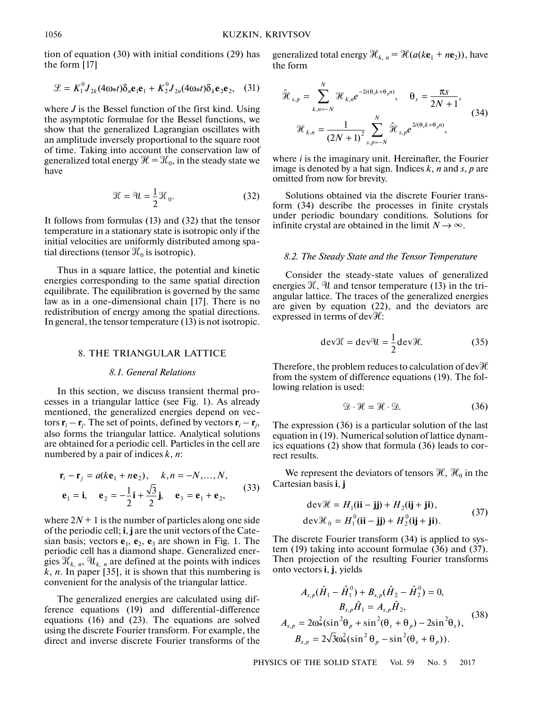tion of equation (30) with initial conditions (29) has the form [17]

$$
\mathcal{L} = K_1^0 J_{2k} (4\omega_* t) \delta_n \mathbf{e}_1 \mathbf{e}_1 + K_2^0 J_{2n} (4\omega_* t) \delta_k \mathbf{e}_2 \mathbf{e}_2, \quad (31)
$$

where *J* is the Bessel function of the first kind. Using the asymptotic formulae for the Bessel functions, we show that the generalized Lagrangian oscillates with an amplitude inversely proportional to the square root of time. Taking into account the conservation law of generalized total energy  $\mathcal{H} = \mathcal{H}_0$ , in the steady state we have

$$
\mathcal{K} = \mathcal{U} = \frac{1}{2} \mathcal{K}_0.
$$
 (32)

It follows from formulas (13) and (32) that the tensor temperature in a stationary state is isotropic only if the initial velocities are uniformly distributed among spatial directions (tensor  $\mathcal{H}_0$  is isotropic).

Thus in a square lattice, the potential and kinetic energies corresponding to the same spatial direction equilibrate. The equilibration is governed by the same law as in a one-dimensional chain [17]. There is no redistribution of energy among the spatial directions. In general, the tensor temperature (13) is not isotropic.

# 8. THE TRIANGULAR LATTICE

#### *8.1. General Relations*

In this section, we discuss transient thermal processes in a triangular lattice (see Fig. 1). As already mentioned, the generalized energies depend on vectors  $\mathbf{r}_i - \mathbf{r}_j$ . The set of points, defined by vectors  $\mathbf{r}_i - \mathbf{r}_j$ , also forms the triangular lattice. Analytical solutions are obtained for a periodic cell. Particles in the cell are numbered by a pair of indices *k*, *n*:

$$
\mathbf{r}_i - \mathbf{r}_j = a(k\mathbf{e}_1 + n\mathbf{e}_2), \quad k, n = -N, \dots, N,
$$
  

$$
\mathbf{e}_1 = \mathbf{i}, \quad \mathbf{e}_2 = -\frac{1}{2}\mathbf{i} + \frac{\sqrt{3}}{2}\mathbf{j}, \quad \mathbf{e}_3 = \mathbf{e}_1 + \mathbf{e}_2,
$$
 (33)

where  $2N + 1$  is the number of particles along one side of the periodic cell; **i**, **j** are the unit vectors of the Catesian basis; vectors  $e_1$ ,  $e_2$ ,  $e_3$  are shown in Fig. 1. The periodic cell has a diamond shape. Generalized energies  $\mathcal{K}_{k, n}$ ,  $\mathcal{U}_{k, n}$  are defined at the points with indices *k*, *n*. In paper [35], it is shown that this numbering is convenient for the analysis of the triangular lattice.

The generalized energies are calculated using difference equations (19) and differential-difference equations (16) and (23). The equations are solved using the discrete Fourier transform. For example, the direct and inverse discrete Fourier transforms of the generalized total energy  $\mathcal{H}_{k, n} = \mathcal{H}(a(k\mathbf{e}_1 + n\mathbf{e}_2))$ , have the form

$$
\hat{\mathcal{H}}_{s,p} = \sum_{k,n=-N}^{N} \mathcal{H}_{k,n} e^{-2i(\theta_s k + \theta_p n)}, \quad \theta_s = \frac{\pi s}{2N+1},
$$
  

$$
\mathcal{H}_{k,n} = \frac{1}{(2N+1)^2} \sum_{s,p=-N}^{N} \hat{\mathcal{H}}_{s,p} e^{2i(\theta_s k + \theta_p n)},
$$
(34)

where *i* is the imaginary unit. Hereinafter, the Fourier image is denoted by a hat sign. Indices *k*, *n* and *s*, *p* are omitted from now for brevity.

Solutions obtained via the discrete Fourier transform (34) describe the processes in finite crystals under periodic boundary conditions. Solutions for infinite crystal are obtained in the limit  $N \rightarrow \infty$ .

#### *8.2. The Steady State and the Tensor Temperature*

Consider the steady-state values of generalized energies  $\mathcal{H}$ ,  $\mathcal{U}$  and tensor temperature (13) in the triangular lattice. The traces of the generalized energies are given by equation (22), and the deviators are expressed in terms of dev $\mathcal{H}$ :

$$
dev\mathcal{H} = dev\mathcal{U} = \frac{1}{2} dev\mathcal{H}.
$$
 (35)

Therefore, the problem reduces to calculation of dev $\mathcal H$ from the system of difference equations (19). The following relation is used:

$$
\mathfrak{D} \cdot \mathcal{H} = \mathcal{H} \cdot \mathfrak{D}.\tag{36}
$$

The expression (36) is a particular solution of the last equation in (19). Numerical solution of lattice dynamics equations (2) show that formula (36) leads to correct results.

We represent the deviators of tensors  $\mathcal{H}, \mathcal{H}_0$  in the Cartesian basis **i**, **j**

$$
\begin{aligned} \text{devH} &= H_1(\mathbf{ii} - \mathbf{j}\mathbf{j}) + H_2(\mathbf{ij} + \mathbf{j}\mathbf{i}), \\ \text{devH}_0 &= H_1^0(\mathbf{ii} - \mathbf{j}\mathbf{j}) + H_2^0(\mathbf{ij} + \mathbf{j}\mathbf{i}). \end{aligned} \tag{37}
$$

The discrete Fourier transform (34) is applied to system (19) taking into account formulae (36) and (37). Then projection of the resulting Fourier transforms onto vectors **i**, **j**, yields

$$
A_{s,p}(\hat{H}_1 - \hat{H}_1^0) + B_{s,p}(\hat{H}_2 - \hat{H}_2^0) = 0,
$$
  
\n
$$
B_{s,p}\hat{H}_1 = A_{s,p}\hat{H}_2,
$$
  
\n
$$
A_{s,p} = 2\omega_*^2(\sin^2\theta_p + \sin^2(\theta_s + \theta_p) - 2\sin^2\theta_s),
$$
  
\n
$$
B_{s,p} = 2\sqrt{3}\omega_*^2(\sin^2\theta_p - \sin^2(\theta_s + \theta_p)).
$$
\n(38)

PHYSICS OF THE SOLID STATE Vol. 59 No. 5 2017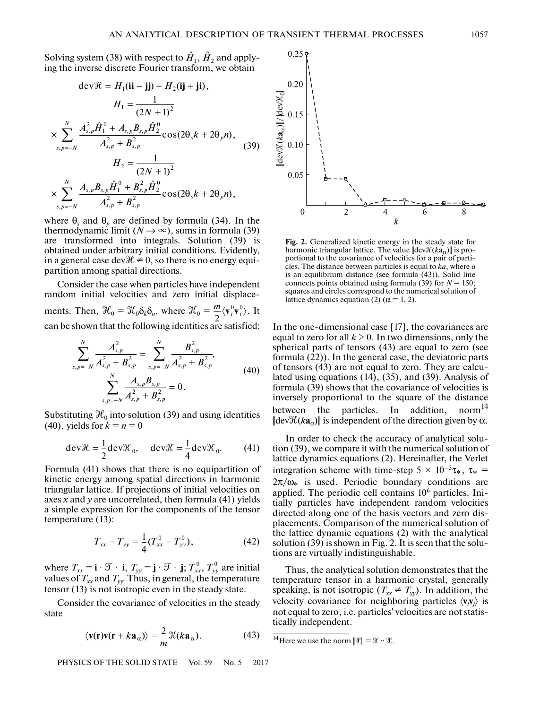Solving system (38) with respect to  $\hat{H}_1$ ,  $\hat{H}_2$  and applying the inverse discrete Fourier transform, we obtain  $\hat{H}_1$ ,  $\hat{H}_2$ 

$$
\begin{aligned}\n\text{dev}\mathcal{H} &= H_1(\mathbf{ii} - \mathbf{j}\mathbf{j}) + H_2(\mathbf{ij} + \mathbf{j}\mathbf{i}), \\
H_1 &= \frac{1}{(2N+1)^2} \\
\times \sum_{s,p=-N}^{N} \frac{A_{s,p}^2 \hat{H}_1^0 + A_{s,p} B_{s,p} \hat{H}_2^0}{A_{s,p}^2 + B_{s,p}^2} \cos(2\theta_s k + 2\theta_p n), \\
H_2 &= \frac{1}{(2N+1)^2} \\
\times \sum_{s,p=-N}^{N} \frac{A_{s,p} B_{s,p} \hat{H}_1^0 + B_{s,p}^2 \hat{H}_2^0}{A_{s,p}^2 + B_{s,p}^2} \cos(2\theta_s k + 2\theta_p n),\n\end{aligned} \tag{39}
$$

where  $\theta_s$  and  $\theta_p$  are defined by formula (34). In the thermodynamic limit ( $N \rightarrow \infty$ ), sums in formula (39) are transformed into integrals. Solution (39) is obtained under arbitrary initial conditions. Evidently, in a general case dev $\mathcal{H} \neq 0$ , so there is no energy equipartition among spatial directions.

Consider the case when particles have independent random initial velocities and zero initial displacements. Then,  $\mathcal{H}_0 = \mathcal{H}_0 \delta_k \delta_n$ , where  $\mathcal{H}_0 = \frac{m}{2} \langle \mathbf{v}_i^0 \mathbf{v}_i^0 \rangle$ . It can be shown that the following identities are satisfied:  $\frac{m}{2} \langle \mathbf{v}_i^0 \mathbf{v}_i \rangle$ 

$$
\sum_{s,p=-N}^{N} \frac{A_{s,p}^2}{A_{s,p}^2 + B_{s,p}^2} = \sum_{s,p=-N}^{N} \frac{B_{s,p}^2}{A_{s,p}^2 + B_{s,p}^2},
$$
\n
$$
\sum_{s,p=-N}^{N} \frac{A_{s,p} B_{s,p}}{A_{s,p}^2 + B_{s,p}^2} = 0.
$$
\n(40)

Substituting  $\mathcal{H}_0$  into solution (39) and using identities (40), yields for  $k = n = 0$ 

$$
\operatorname{dev}\mathcal{H} = \frac{1}{2}\operatorname{dev}\mathcal{H}_0, \quad \operatorname{dev}\mathcal{H} = \frac{1}{4}\operatorname{dev}\mathcal{H}_0. \tag{41}
$$

Formula (41) shows that there is no equipartition of kinetic energy among spatial directions in harmonic triangular lattice. If projections of initial velocities on axes *x* and *y* are uncorrelated, then formula (41) yields a simple expression for the components of the tensor temperature (13):

$$
T_{xx} - T_{yy} = \frac{1}{4} (T_{xx}^0 - T_{yy}^0), \qquad (42)
$$

where  $T_{xx} = \mathbf{i} \cdot \mathcal{T} \cdot \mathbf{i}$ ,  $T_{yy} = \mathbf{j} \cdot \mathcal{T} \cdot \mathbf{j}$ ;  $T_{xx}^0$ ,  $T_{yy}^0$  are initial values of  $T_{xx}$  and  $T_{yy}$ . Thus, in general, the temperature tensor (13) is not isotropic even in the steady state.  $T_{xx}^0, T_{yy}^0$ 

Consider the covariance of velocities in the steady state

$$
\langle \mathbf{v}(\mathbf{r})\mathbf{v}(\mathbf{r} + k\mathbf{a}_{\alpha}) \rangle = \frac{2}{m} \mathcal{H}(k\mathbf{a}_{\alpha}). \tag{43}
$$

PHYSICS OF THE SOLID STATE Vol. 59 No. 5 2017



**Fig. 2.** Generalized kinetic energy in the steady state for harmonic triangular lattice. The value  $\|\text{dev}\mathcal{H}(k\mathbf{a}_{\alpha})\|$  is proportional to the covariance of velocities for a pair of particles. The distance between particles is equal to *ka*, where *a* is an equilibrium distance (see formula (43)). Solid line connects points obtained using formula (39) for *N* = 150; squares and circles correspond to the numerical solution of lattice dynamics equation (2) ( $\alpha$  = 1, 2).

In the one-dimensional case [17], the covariances are equal to zero for all  $k > 0$ . In two dimensions, only the spherical parts of tensors (43) are equal to zero (see formula (22)). In the general case, the deviatoric parts of tensors (43) are not equal to zero. They are calculated using equations (14), (35), and (39). Analysis of formula (39) shows that the covariance of velocities is inversely proportional to the square of the distance between the particles. In addition, norm<sup>14</sup>  $\|\text{devH}(k\mathbf{a}_{\alpha})\|$  is independent of the direction given by  $\alpha$ .

In order to check the accuracy of analytical solution (39), we compare it with the numerical solution of lattice dynamics equations (2). Hereinafter, the Verlet integration scheme with time-step  $5 \times 10^{-3} \tau_*$ ,  $\tau_* =$ integration scheme with time-step  $5 \times 10^{-3} \tau_*$ ,  $\tau_* = 2\pi/\omega_*$  is used. Periodic boundary conditions are applied. The periodic cell contains 10<sup>6</sup> particles. Initially particles have independent random velocities directed along one of the basis vectors and zero displacements. Comparison of the numerical solution of the lattice dynamic equations (2) with the analytical solution (39) is shown in Fig. 2. It is seen that the solutions are virtually indistinguishable.

Thus, the analytical solution demonstrates that the temperature tensor in a harmonic crystal, generally speaking, is not isotropic  $(T_{xx} \neq T_{yy})$ . In addition, the velocity covariance for neighboring particles  $\langle v_i v_j \rangle$  is not equal to zero, i.e. particles' velocities are not statistically independent.

<sup>14</sup>Here we use the norm  $\|\mathscr{X}\| = \mathscr{X} \cdot \mathscr{X}$ .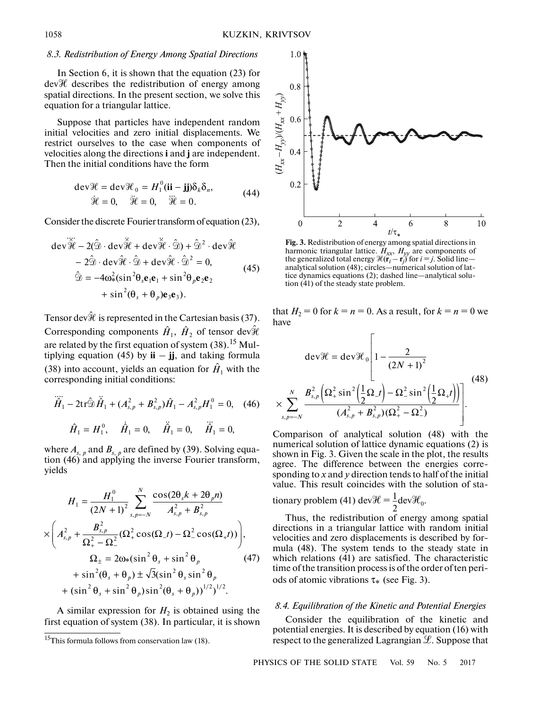#### *8.3. Redistribution of Energy Among Spatial Directions*

In Section 6, it is shown that the equation (23) for  $dev\mathcal{H}$  describes the redistribution of energy among spatial directions. In the present section, we solve this equation for a triangular lattice.

Suppose that particles have independent random initial velocities and zero initial displacements. We restrict ourselves to the case when components of restrict ourselves to the case when components of<br>velocities along the directions **i** and **j** are independent.<br>Then the initial conditions have the form<br> $\text{dev}\mathcal{H} = \text{dev}\mathcal{H}_0 = H_1^0(\textbf{ii} - \textbf{j})\delta_k\delta_n,$ <br> $\mathcal{H} = 0, \quad \mathcal{H$ Then the initial conditions have the form I<br>it<br>e . ة<br>- e<br>- iii

dev
$$
\mathcal{H} = \text{dev}\mathcal{H}_0 = H_1^0(\mathbf{ii} - \mathbf{j})\delta_k \delta_n,
$$
  
\n $\dot{\mathcal{H}} = 0, \quad \ddot{\mathcal{H}} = 0, \quad \dddot{\mathcal{H}} = 0.$  (44)  
\ner the discrete Fourier transform of equation (23),

Consider the discrete Fourier transform of equation (23),

dev 
$$
\ddot{\mathcal{H}} - 2(\hat{\mathbb{D}} \cdot \text{dev} \dot{\mathcal{H}} + \text{dev} \dot{\mathcal{H}} \cdot \hat{\mathbb{D}}) + \hat{\mathbb{D}}^2 \cdot \text{dev} \mathcal{H}
$$
  
\n $- 2\hat{\mathbb{D}} \cdot \text{dev} \dot{\mathcal{H}} \cdot \hat{\mathbb{D}} + \text{dev} \dot{\mathcal{H}} \cdot \hat{\mathbb{D}}^2 = 0,$   
\n $\hat{\mathbb{D}} = -4\omega_*^2 (\sin^2 \theta_s \mathbf{e}_1 \mathbf{e}_1 + \sin^2 \theta_p \mathbf{e}_2 \mathbf{e}_2 + \sin^2 (\theta_s + \theta_p) \mathbf{e}_3 \mathbf{e}_3).$  (45)

Tensor dev $\hat{\mathcal{H}}$  is represented in the Cartesian basis (37). Corresponding components  $\hat{H}_1$ ,  $\hat{H}_2$  of tensor dev $\hat{\mathcal{H}}$ are related by the first equation of system  $(38).^{15}$  Multiplying equation (45) by  $\mathbf{ii} - \mathbf{ji}$ , and taking formula (38) into account, yields an equation for  $\hat{H}_1$  with the corresponding initial conditions: e related by the first equation of system (38<br>dying equation (45) by  $\mathbf{i} \mathbf{i} - \mathbf{j} \mathbf{j}$ , and taking<br>8) into account, yields an equation for  $\hat{H}_1$ <br>rresponding initial conditions:<br> $\dddot{H}_1 - 2\text{tr}\hat{\mathbf{D}}\dot{\hat{H}}_1 + (A$ 1<br>- נוֹ uation for J

8) into account, yields an equation for 
$$
H_1
$$
 with the  
irresponding initial conditions:  

$$
\dddot{\hat{H}}_1 - 2\text{tr}\hat{\hat{B}}\dot{\hat{H}}_1 + (A_{s,p}^2 + B_{s,p}^2)\hat{H}_1 - A_{s,p}^2H_1^0 = 0,
$$
 (46)  

$$
\hat{H}_1 = H_1^0, \quad \dot{\hat{H}}_1 = 0, \quad \ddot{\hat{H}}_1 = 0, \quad \ddot{\hat{H}}_1 = 0,
$$

where  $A_{s, p}$  and  $B_{s, p}$  are defined by (39). Solving equation (46) and applying the inverse Fourier transform, yields

$$
H_{1} = \frac{H_{1}^{0}}{(2N+1)^{2}} \sum_{s,p=-N}^{N} \frac{\cos(2\theta_{s}k + 2\theta_{p}n)}{A_{s,p}^{2} + B_{s,p}^{2}}
$$
  
\n
$$
\times \left(A_{s,p}^{2} + \frac{B_{s,p}^{2}}{\Omega_{+}^{2} - \Omega_{-}^{2}} (\Omega_{+}^{2} \cos(\Omega_{-}t) - \Omega_{-}^{2} \cos(\Omega_{+}t))\right),
$$
  
\n
$$
\Omega_{\pm} = 2\omega_{*} (\sin^{2} \theta_{s} + \sin^{2} \theta_{p})
$$
  
\n
$$
+ \sin^{2}(\theta_{s} + \theta_{p}) \pm \sqrt{3}(\sin^{2} \theta_{s} \sin^{2} \theta_{p})
$$
  
\n
$$
+ (\sin^{2} \theta_{s} + \sin^{2} \theta_{p}) \sin^{2}(\theta_{s} + \theta_{p}))^{1/2})^{1/2}.
$$

A similar expression for  $H_2$  is obtained using the first equation of system (38). In particular, it is shown



**Fig. 3.** Redistribution of energy among spatial directions in harmonic triangular lattice.  $H_{xx}$ ,  $H_{yy}$  are components of the generalized total energy  $\mathcal{H}(\mathbf{r}_i - \mathbf{r}_j)$  for  $i = j$ . Solid line analytical solution (48); circles—numerical solution of lattice dynamics equations (2); dashed line—analytical solution (41) of the steady state problem.

that  $H_2 = 0$  for  $k = n = 0$ . As a result, for  $k = n = 0$  we have

$$
\begin{aligned}\n\text{dev}\mathcal{H} &= \text{dev}\mathcal{H}_0 \left[ 1 - \frac{2}{(2N+1)^2} \right. \\
&\times \sum_{s,p=-N}^N \frac{B_{s,p}^2 \left( \Omega_+^2 \sin^2 \left( \frac{1}{2} \Omega_- t \right) - \Omega_-^2 \sin^2 \left( \frac{1}{2} \Omega_+ t \right) \right)}{(A_{s,p}^2 + B_{s,p}^2)(\Omega_+^2 - \Omega_-^2)}\right].\n\end{aligned} \tag{48}
$$

Comparison of analytical solution (48) with the numerical solution of lattice dynamic equations (2) is shown in Fig. 3. Given the scale in the plot, the results agree. The difference between the energies corresponding to *x* and *y* direction tends to half of the initial value. This result coincides with the solution of sta-

tionary problem (41) 
$$
dev\mathcal{H} = \frac{1}{2}dev\mathcal{H}_0.
$$

Thus, the redistribution of energy among spatial directions in a triangular lattice with random initial velocities and zero displacements is described by formula (48). The system tends to the steady state in which relations (41) are satisfied. The characteristic time of the transition process is of the order of ten periods of atomic vibrations  $\tau_*$  (see Fig. 3).

## *8.4. Equilibration of the Kinetic and Potential Energies*

Consider the equilibration of the kinetic and potential energies. It is described by equation (16) with respect to the generalized Lagrangian  $\mathcal{L}$ . Suppose that

<sup>&</sup>lt;sup>15</sup>This formula follows from conservation law  $(18)$ .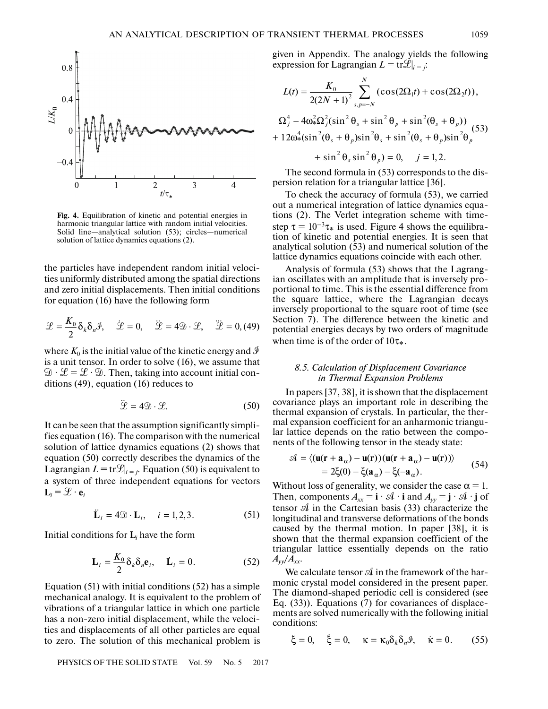

**Fig. 4.** Equilibration of kinetic and potential energies in harmonic triangular lattice with random initial velocities. Solid line—analytical solution (53); circles—numerical solution of lattice dynamics equations (2).

the particles have independent random initial veloci---ties uniformly distributed among the spatial directions and zero initial displacements. Then initial conditions for equation (16) have the following form particles have independent random initial<br>suniformly distributed among the spatial dir-<br>dividend in the spatial con-<br>equation (16) have the following form<br> $= \frac{K_0}{2} \delta_k \delta_n \mathcal{F}, \quad \dot{\mathcal{L}} = 0, \quad \ddot{\mathcal{L}} = 4 \mathcal{D} \cdot \mathcal{L}, \$ (<br>11<br>.<br>. 11<br>-<br>-

$$
\mathcal{L} = \frac{K_0}{2} \delta_k \delta_n \mathcal{I}, \quad \dot{\mathcal{L}} = 0, \quad \ddot{\mathcal{L}} = 4 \mathcal{D} \cdot \mathcal{L}, \quad \dddot{\mathcal{L}} = 0, (49)
$$

where  $K_0$  is the initial value of the kinetic energy and  $\mathcal{F}$ <br>is a unit tensor. In order to solve (16), we assume that<br> $\mathcal{D} \cdot \mathcal{L} = \mathcal{L} \cdot \mathcal{D}$ . Then, taking into account initial con-<br>ditions (49), equation ( is a unit tensor. In order to solve (16), we assume that  $\mathcal{D} \cdot \mathcal{L} = \mathcal{L} \cdot \mathcal{D}$ . Then, taking into account initial conditions (49), equation (16) reduces to

$$
\ddot{\mathcal{L}} = 4\mathcal{D} \cdot \mathcal{L}.\tag{50}
$$

It can be seen that the assumption significantly simplifies equation (16). The comparison with the numerical solution of lattice dynamics equations (2) shows that equation (50) correctly describes the dynamics of the Lagrangian  $\hat{L} = \text{tr}\mathcal{L}|_{i=j}$ . Equation (50) is equivalent to a system of three independent equations for vectors  $\mathbf{L}_i = \mathcal{L} \cdot \mathbf{e}_i$ 

$$
\ddot{\mathbf{L}}_i = 4\mathfrak{D} \cdot \mathbf{L}_i, \quad i = 1, 2, 3. \tag{51}
$$

Initial conditions for **L***<sup>i</sup>* have the form

$$
\ddot{\mathbf{L}}_i = 4\mathfrak{D} \cdot \mathbf{L}_i, \quad i = 1, 2, 3. \tag{51}
$$
\n
$$
\text{itions for } \mathbf{L}_i \text{ have the form}
$$
\n
$$
\mathbf{L}_i = \frac{K_0}{2} \delta_k \delta_n \mathbf{e}_i, \quad \dot{\mathbf{L}}_i = 0. \tag{52}
$$

Equation (51) with initial conditions (52) has a simple mechanical analogy. It is equivalent to the problem of vibrations of a triangular lattice in which one particle has a non-zero initial displacement, while the velocities and displacements of all other particles are equal to zero. The solution of this mechanical problem is

PHYSICS OF THE SOLID STATE Vol. 59 No. 5 2017

given in Appendix. The analogy yields the following  $\text{expression for Lagrangian } L = \text{tr}\mathcal{L}|_{i=j}$ .

$$
L(t) = \frac{K_0}{2(2N+1)^2} \sum_{s,p=-N}^{N} (\cos(2\Omega_1 t) + \cos(2\Omega_2 t)),
$$
  
\n
$$
\Omega_j^4 - 4\omega_*^2 \Omega_j^2 (\sin^2 \theta_s + \sin^2 \theta_p + \sin^2 (\theta_s + \theta_p)) + 12\omega_*^4 (\sin^2 (\theta_s + \theta_p) \sin^2 \theta_s + \sin^2 (\theta_s + \theta_p) \sin^2 \theta_p) + \sin^2 \theta_s \sin^2 \theta_p) = 0, \quad j = 1, 2.
$$

The second formula in (53) corresponds to the dispersion relation for a triangular lattice [36].

To check the accuracy of formula (53), we carried out a numerical integration of lattice dynamics equations (2). The Verlet integration scheme with timestep  $\tau = 10^{-3} \tau_*$  is used. Figure 4 shows the equilibration of kinetic and potential energies. It is seen that analytical solution (53) and numerical solution of the lattice dynamics equations coincide with each other.

Analysis of formula (53) shows that the Lagrangian oscillates with an amplitude that is inversely proportional to time. This is the essential difference from the square lattice, where the Lagrangian decays inversely proportional to the square root of time (see Section 7). The difference between the kinetic and potential energies decays by two orders of magnitude when time is of the order of  $10\tau_*$ .

## *8.5. Calculation of Displacement Covariance in Thermal Expansion Problems*

In papers [37, 38], it is shown that the displacement covariance plays an important role in describing the thermal expansion of crystals. In particular, the thermal expansion coefficient for an anharmonic triangular lattice depends on the ratio between the components of the following tensor in the steady state:

$$
\mathcal{A} = \langle (\mathbf{u}(\mathbf{r} + \mathbf{a}_{\alpha}) - \mathbf{u}(\mathbf{r})) (\mathbf{u}(\mathbf{r} + \mathbf{a}_{\alpha}) - \mathbf{u}(\mathbf{r})) \rangle \n= 2\xi(0) - \xi(\mathbf{a}_{\alpha}) - \xi(-\mathbf{a}_{\alpha}).
$$
\n(54)

Without loss of generality, we consider the case  $\alpha = 1$ . Then, components  $A_{xx} = \mathbf{i} \cdot \mathcal{A} \cdot \mathbf{i}$  and  $A_{yy} = \mathbf{j} \cdot \mathcal{A} \cdot \mathbf{j}$  of tensor  $\mathcal A$  in the Cartesian basis (33) characterize the longitudinal and transverse deformations of the bonds caused by the thermal motion. In paper [38], it is shown that the thermal expansion coefficient of the triangular lattice essentially depends on the ratio  $A_{yy}/A_{xx}$ 

We calculate tensor  $\mathcal A$  in the framework of the harmonic crystal model considered in the present paper. The diamond-shaped periodic cell is considered (see Eq. (33)). Equations (7) for covariances of displacements are solved numerically with the following initial conditions: ic crystal model considered in the prodiamond-shaped periodic cell is cons<br>(33)). Equations (7) for covariances (<br>ts are solved numerically with the follo<br>litions:<br> $\xi = 0$ ,  $\xi = 0$ ,  $\kappa = \kappa_0 \delta_k \delta_n \phi$ ,  $\kappa =$ 

$$
\xi = 0
$$
,  $\dot{\xi} = 0$ ,  $\kappa = \kappa_0 \delta_k \delta_n \mathcal{I}$ ,  $\dot{\kappa} = 0$ . (55)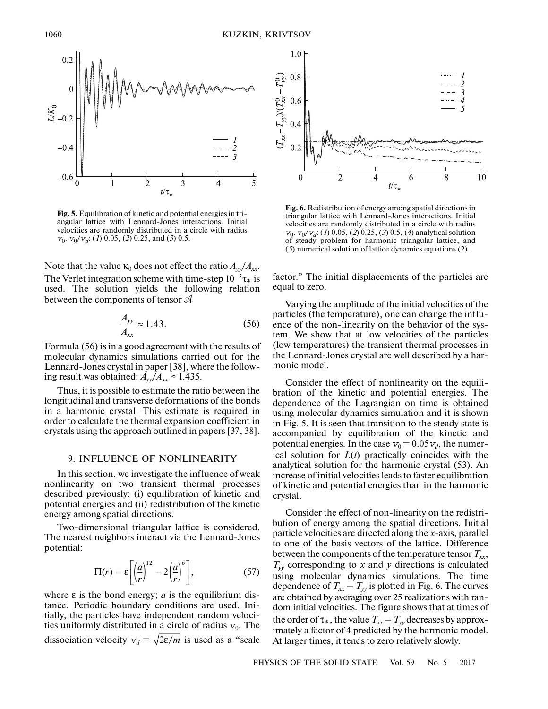

**Fig. 5.** Equilibration of kinetic and potential energies in triangular lattice with Lennard-Jones interactions. Initial velocities are randomly distributed in a circle with radius *v*0. *v*0/*vd*: (*1*) 0.05, (*2*) 0.25, and (*3*) 0.5.

Note that the value  $\kappa_0$  does not effect the ratio  $A_{vv}/A_{xx}$ . The Verlet integration scheme with time-step  $10^{-3}\tau_*$  is used. The solution yields the following relation between the components of tensor  $\mathcal A$ 

$$
\frac{A_{yy}}{A_{xx}} \approx 1.43. \tag{56}
$$

Formula (56) is in a good agreement with the results of molecular dynamics simulations carried out for the Lennard-Jones crystal in paper [38], where the following result was obtained:  $A_{yy}/A_{xx} \approx 1.435$ .

Thus, it is possible to estimate the ratio between the longitudinal and transverse deformations of the bonds in a harmonic crystal. This estimate is required in order to calculate the thermal expansion coefficient in crystals using the approach outlined in papers [37, 38].

## 9. INFLUENCE OF NONLINEARITY

In this section, we investigate the influence of weak nonlinearity on two transient thermal processes described previously: (i) equilibration of kinetic and potential energies and (ii) redistribution of the kinetic energy among spatial directions.

Two-dimensional triangular lattice is considered. The nearest neighbors interact via the Lennard-Jones potential:

$$
\Pi(r) = \varepsilon \left[ \left( \frac{a}{r} \right)^{12} - 2 \left( \frac{a}{r} \right)^6 \right],\tag{57}
$$

where  $\varepsilon$  is the bond energy;  $a$  is the equilibrium distance. Periodic boundary conditions are used. Initially, the particles have independent random velocities uniformly distributed in a circle of radius  $v_0$ . The dissociation velocity  $v_d = \sqrt{2\varepsilon/m}$  is used as a "scale



**Fig. 6.** Redistribution of energy among spatial directions in triangular lattice with Lennard-Jones interactions. Initial velocities are randomly distributed in a circle with radius *v*0. *v*0/*vd*: (*1*) 0.05, (*2*) 0.25, (*3*) 0.5, (*4*) analytical solution of steady problem for harmonic triangular lattice, and (*5*) numerical solution of lattice dynamics equations (2).

factor." The initial displacements of the particles are equal to zero.

Varying the amplitude of the initial velocities of the particles (the temperature), one can change the influence of the non-linearity on the behavior of the system. We show that at low velocities of the particles (low temperatures) the transient thermal processes in the Lennard-Jones crystal are well described by a harmonic model.

Consider the effect of nonlinearity on the equilibration of the kinetic and potential energies. The dependence of the Lagrangian on time is obtained using molecular dynamics simulation and it is shown in Fig. 5. It is seen that transition to the steady state is accompanied by equilibration of the kinetic and potential energies. In the case  $v_0 = 0.05v_d$ , the numerical solution for  $L(t)$  practically coincides with the analytical solution for the harmonic crystal (53). An increase of initial velocities leads to faster equilibration of kinetic and potential energies than in the harmonic crystal.

Consider the effect of non-linearity on the redistribution of energy among the spatial directions. Initial particle velocities are directed along the *x*-axis, parallel to one of the basis vectors of the lattice. Difference between the components of the temperature tensor  $T_{xx}$ , *Tyy* corresponding to *x* and *y* directions is calculated using molecular dynamics simulations. The time dependence of  $T_{xx} - T_{yy}$  is plotted in Fig. 6. The curves are obtained by averaging over 25 realizations with random initial velocities. The figure shows that at times of the order of  $\tau_*$ , the value  $T_{xx} - T_{yy}$  decreases by approximately a factor of 4 predicted by the harmonic model. At larger times, it tends to zero relatively slowly.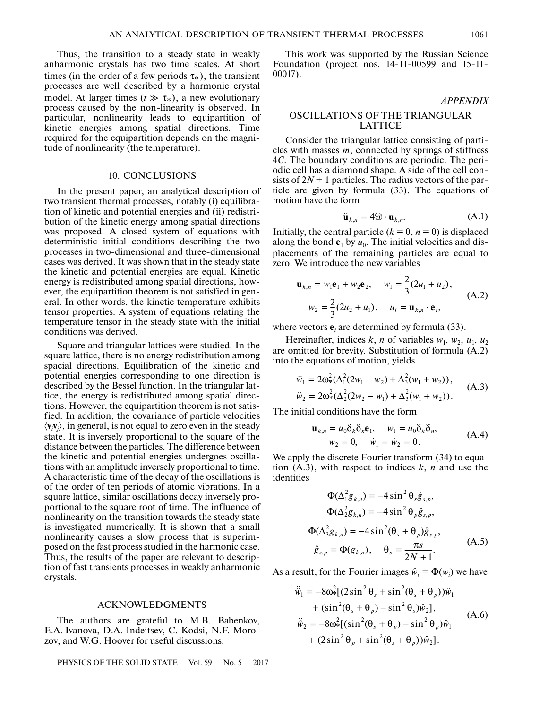Thus, the transition to a steady state in weakly anharmonic crystals has two time scales. At short times (in the order of a few periods  $\tau_*$ ), the transient processes are well described by a harmonic crystal model. At larger times  $(t \gg \tau_*)$ , a new evolutionary process caused by the non-linearity is observed. In particular, nonlinearity leads to equipartition of kinetic energies among spatial directions. Time required for the equipartition depends on the magnitude of nonlinearity (the temperature).

## 10. CONCLUSIONS

In the present paper, an analytical description of two transient thermal processes, notably (i) equilibration of kinetic and potential energies and (ii) redistribution of the kinetic energy among spatial directions was proposed. A closed system of equations with deterministic initial conditions describing the two processes in two-dimensional and three-dimensional cases was derived. It was shown that in the steady state the kinetic and potential energies are equal. Kinetic energy is redistributed among spatial directions, however, the equipartition theorem is not satisfied in general. In other words, the kinetic temperature exhibits tensor properties. A system of equations relating the temperature tensor in the steady state with the initial conditions was derived.

Square and triangular lattices were studied. In the square lattice, there is no energy redistribution among spacial directions. Equilibration of the kinetic and potential energies corresponding to one direction is described by the Bessel function. In the triangular lattice, the energy is redistributed among spatial directions. However, the equipartition theorem is not satisfied. In addition, the covariance of particle velocities  $\langle \mathbf{v}_i \mathbf{v}_j \rangle$ , in general, is not equal to zero even in the steady state. It is inversely proportional to the square of the distance between the particles. The difference between the kinetic and potential energies undergoes oscillations with an amplitude inversely proportional to time. A characteristic time of the decay of the oscillations is of the order of ten periods of atomic vibrations. In a square lattice, similar oscillations decay inversely proportional to the square root of time. The influence of nonlinearity on the transition towards the steady state is investigated numerically. It is shown that a small nonlinearity causes a slow process that is superimposed on the fast process studied in the harmonic case. Thus, the results of the paper are relevant to description of fast transients processes in weakly anharmonic crystals.

## ACKNOWLEDGMENTS

The authors are grateful to M.B. Babenkov, E.A. Ivanova, D.A. Indeitsev, C. Kodsi, N.F. Morozov, and W.G. Hoover for useful discussions.

This work was supported by the Russian Science Foundation (project nos. 14-11-00599 and 15-11- 00017).

## *APPENDIX*

# OSCILLATIONS OF THE TRIANGULAR **LATTICE**

Consider the triangular lattice consisting of particles with masses *m*, connected by springs of stiffness 4*C*. The boundary conditions are periodic. The periodic cell has a diamond shape. A side of the cell consists of  $2N + 1$  particles. The radius vectors of the particle are given by formula (33). The equations of motion have the form

$$
\ddot{\mathbf{u}}_{k,n} = 4\mathfrak{D} \cdot \mathbf{u}_{k,n}.\tag{A.1}
$$

Initially, the central particle  $(k = 0, n = 0)$  is displaced along the bond  $e_1$  by  $u_0$ . The initial velocities and displacements of the remaining particles are equal to zero. We introduce the new variables

$$
\mathbf{u}_{k,n} = w_1 \mathbf{e}_1 + w_2 \mathbf{e}_2, \quad w_1 = \frac{2}{3} (2u_1 + u_2),
$$
  
\n
$$
w_2 = \frac{2}{3} (2u_2 + u_1), \quad u_i = \mathbf{u}_{k,n} \cdot \mathbf{e}_i,
$$
 (A.2)

where vectors  $e_i$  are determined by formula (33).

Hereinafter, indices *k*, *n* of variables  $w_1$ ,  $w_2$ ,  $u_1$ ,  $u_2$ are omitted for brevity. Substitution of formula (A.2) into the equations of motion, yields

$$
\ddot{w}_1 = 2\omega_*^2(\Delta_1^2(2w_1 - w_2) + \Delta_3^2(w_1 + w_2)),
$$
  
\n
$$
\ddot{w}_2 = 2\omega_*^2(\Delta_2^2(2w_2 - w_1) + \Delta_3^2(w_1 + w_2)).
$$
\n(A.3)

The initial conditions have the form

$$
= 2\omega_{*}^{2}(\Delta_{2}^{2}(2w_{2} - w_{1}) + \Delta_{3}^{2}(w_{1} + w_{2})).
$$
\n(A.3)

\nand conditions have the form

\n
$$
\mathbf{u}_{k,n} = u_{0}\delta_{k}\delta_{n}\mathbf{e}_{1}, \quad w_{1} = u_{0}\delta_{k}\delta_{n},
$$
\n
$$
w_{2} = 0, \quad \dot{w}_{1} = \dot{w}_{2} = 0.
$$
\n(A.4)

We apply the discrete Fourier transform (34) to equation (A.3), with respect to indices *k*, *n* and use the identities

$$
\Phi(\Delta_1^2 g_{k,n}) = -4 \sin^2 \theta_s \hat{g}_{s,p},
$$
  
\n
$$
\Phi(\Delta_2^2 g_{k,n}) = -4 \sin^2 \theta_p \hat{g}_{s,p},
$$
  
\n
$$
\Phi(\Delta_3^2 g_{k,n}) = -4 \sin^2(\theta_s + \theta_p) \hat{g}_{s,p},
$$
  
\n
$$
\hat{g}_{s,p} = \Phi(g_{k,n}), \quad \theta_s = \frac{\pi s}{2N+1}.
$$
\n(A.5)

As a result, for the Fourier images  $\hat{w}_i = \Phi(w_i)$  we have

$$
\ddot{\hat{w}}_1 = -8\omega_*^2 [(2\sin^2 \theta_s + \sin^2(\theta_s + \theta_p))\hat{w}_1 \n+ (\sin^2(\theta_s + \theta_p) - \sin^2 \theta_s)\hat{w}_2],\n\ddot{w}_2 = -8\omega_*^2 [(\sin^2(\theta_s + \theta_p) - \sin^2 \theta_p)\hat{w}_1 \n+ (2\sin^2 \theta_p + \sin^2(\theta_s + \theta_p))\hat{w}_2].
$$
\n(A.6)